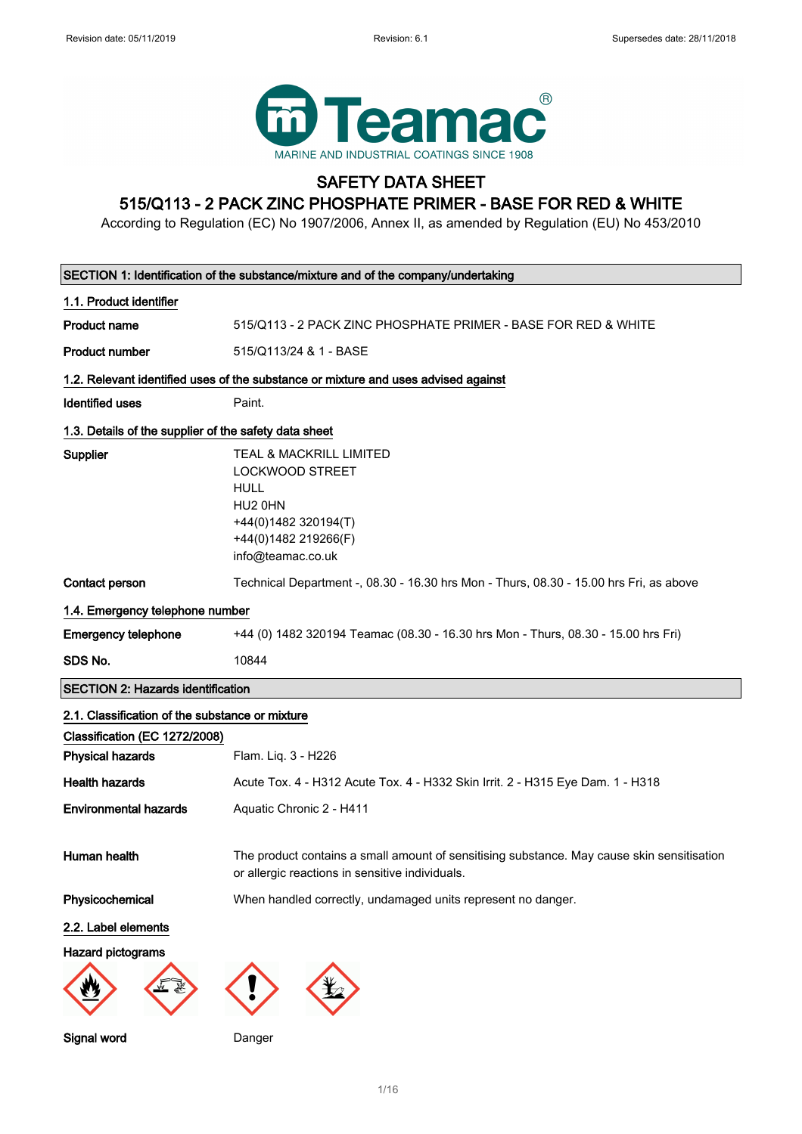

## SAFETY DATA SHEET 515/Q113 - 2 PACK ZINC PHOSPHATE PRIMER - BASE FOR RED & WHITE

According to Regulation (EC) No 1907/2006, Annex II, as amended by Regulation (EU) No 453/2010

| SECTION 1: Identification of the substance/mixture and of the company/undertaking |                                                                                                                                                             |  |
|-----------------------------------------------------------------------------------|-------------------------------------------------------------------------------------------------------------------------------------------------------------|--|
| 1.1. Product identifier                                                           |                                                                                                                                                             |  |
| <b>Product name</b>                                                               | 515/Q113 - 2 PACK ZINC PHOSPHATE PRIMER - BASE FOR RED & WHITE                                                                                              |  |
| <b>Product number</b>                                                             | 515/Q113/24 & 1 - BASE                                                                                                                                      |  |
|                                                                                   | 1.2. Relevant identified uses of the substance or mixture and uses advised against                                                                          |  |
| <b>Identified uses</b>                                                            | Paint.                                                                                                                                                      |  |
| 1.3. Details of the supplier of the safety data sheet                             |                                                                                                                                                             |  |
| Supplier                                                                          | <b>TEAL &amp; MACKRILL LIMITED</b><br><b>LOCKWOOD STREET</b><br><b>HULL</b><br>HU2 0HN<br>+44(0)1482 320194(T)<br>+44(0)1482 219266(F)<br>info@teamac.co.uk |  |
| Contact person                                                                    | Technical Department -, 08.30 - 16.30 hrs Mon - Thurs, 08.30 - 15.00 hrs Fri, as above                                                                      |  |
| 1.4. Emergency telephone number                                                   |                                                                                                                                                             |  |
| <b>Emergency telephone</b>                                                        | +44 (0) 1482 320194 Teamac (08.30 - 16.30 hrs Mon - Thurs, 08.30 - 15.00 hrs Fri)                                                                           |  |
| SDS No.                                                                           | 10844                                                                                                                                                       |  |
| <b>SECTION 2: Hazards identification</b>                                          |                                                                                                                                                             |  |
| 2.1. Classification of the substance or mixture                                   |                                                                                                                                                             |  |
| Classification (EC 1272/2008)                                                     |                                                                                                                                                             |  |
| <b>Physical hazards</b>                                                           | Flam. Liq. 3 - H226                                                                                                                                         |  |
| <b>Health hazards</b>                                                             | Acute Tox. 4 - H312 Acute Tox. 4 - H332 Skin Irrit. 2 - H315 Eye Dam. 1 - H318                                                                              |  |
| <b>Environmental hazards</b>                                                      | Aquatic Chronic 2 - H411                                                                                                                                    |  |
| Human health                                                                      | The product contains a small amount of sensitising substance. May cause skin sensitisation<br>or allergic reactions in sensitive individuals.               |  |
| Physicochemical                                                                   | When handled correctly, undamaged units represent no danger.                                                                                                |  |
| 2.2. Label elements                                                               |                                                                                                                                                             |  |
| Hazard pictograms                                                                 |                                                                                                                                                             |  |
|                                                                                   |                                                                                                                                                             |  |
| Signal word                                                                       | Danger                                                                                                                                                      |  |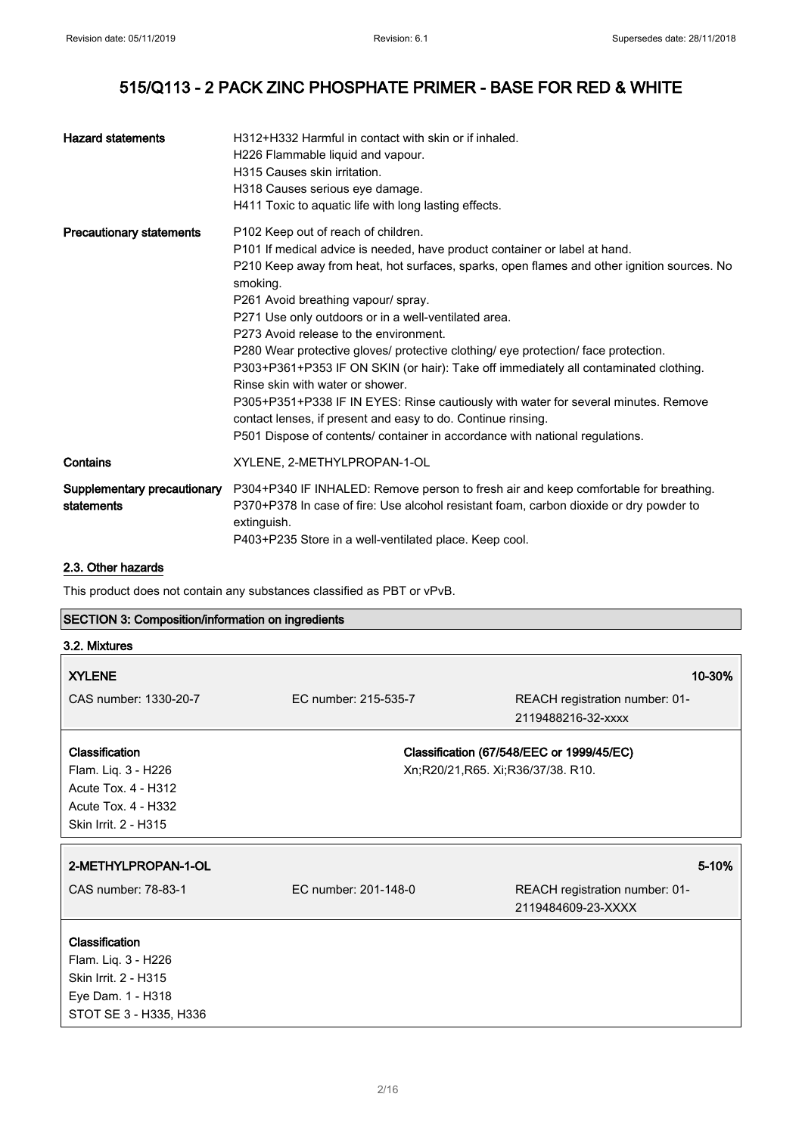| <b>Hazard statements</b>                  | H312+H332 Harmful in contact with skin or if inhaled.<br>H226 Flammable liquid and vapour.<br>H315 Causes skin irritation.<br>H318 Causes serious eye damage.<br>H411 Toxic to aquatic life with long lasting effects.                                                                                                                                                                                                                                                                                                                                                                                                                                                                                                                                                                                                       |
|-------------------------------------------|------------------------------------------------------------------------------------------------------------------------------------------------------------------------------------------------------------------------------------------------------------------------------------------------------------------------------------------------------------------------------------------------------------------------------------------------------------------------------------------------------------------------------------------------------------------------------------------------------------------------------------------------------------------------------------------------------------------------------------------------------------------------------------------------------------------------------|
| <b>Precautionary statements</b>           | P102 Keep out of reach of children.<br>P101 If medical advice is needed, have product container or label at hand.<br>P210 Keep away from heat, hot surfaces, sparks, open flames and other ignition sources. No<br>smoking.<br>P261 Avoid breathing vapour/ spray.<br>P271 Use only outdoors or in a well-ventilated area.<br>P273 Avoid release to the environment.<br>P280 Wear protective gloves/ protective clothing/ eye protection/ face protection.<br>P303+P361+P353 IF ON SKIN (or hair): Take off immediately all contaminated clothing.<br>Rinse skin with water or shower.<br>P305+P351+P338 IF IN EYES: Rinse cautiously with water for several minutes. Remove<br>contact lenses, if present and easy to do. Continue rinsing.<br>P501 Dispose of contents/ container in accordance with national regulations. |
| Contains                                  | XYLENE, 2-METHYLPROPAN-1-OL                                                                                                                                                                                                                                                                                                                                                                                                                                                                                                                                                                                                                                                                                                                                                                                                  |
| Supplementary precautionary<br>statements | P304+P340 IF INHALED: Remove person to fresh air and keep comfortable for breathing.<br>P370+P378 In case of fire: Use alcohol resistant foam, carbon dioxide or dry powder to<br>extinguish.<br>P403+P235 Store in a well-ventilated place. Keep cool.                                                                                                                                                                                                                                                                                                                                                                                                                                                                                                                                                                      |

### 2.3. Other hazards

This product does not contain any substances classified as PBT or vPvB.

## SECTION 3: Composition/information on ingredients

| 3.2. Mixtures                                                                                                       |                                   |                                                      |
|---------------------------------------------------------------------------------------------------------------------|-----------------------------------|------------------------------------------------------|
| <b>XYLENE</b><br>CAS number: 1330-20-7                                                                              | EC number: 215-535-7              | 10-30%<br>REACH registration number: 01-             |
|                                                                                                                     |                                   | 2119488216-32-xxxx                                   |
| <b>Classification</b><br>Flam. Liq. 3 - H226<br>Acute Tox. 4 - H312<br>Acute Tox. 4 - H332<br>Skin Irrit. 2 - H315  | Xn;R20/21,R65. Xi;R36/37/38. R10. | Classification (67/548/EEC or 1999/45/EC)            |
| 2-METHYLPROPAN-1-OL                                                                                                 |                                   | 5-10%                                                |
| CAS number: 78-83-1                                                                                                 | EC number: 201-148-0              | REACH registration number: 01-<br>2119484609-23-XXXX |
| <b>Classification</b><br>Flam. Liq. 3 - H226<br>Skin Irrit. 2 - H315<br>Eye Dam. 1 - H318<br>STOT SE 3 - H335, H336 |                                   |                                                      |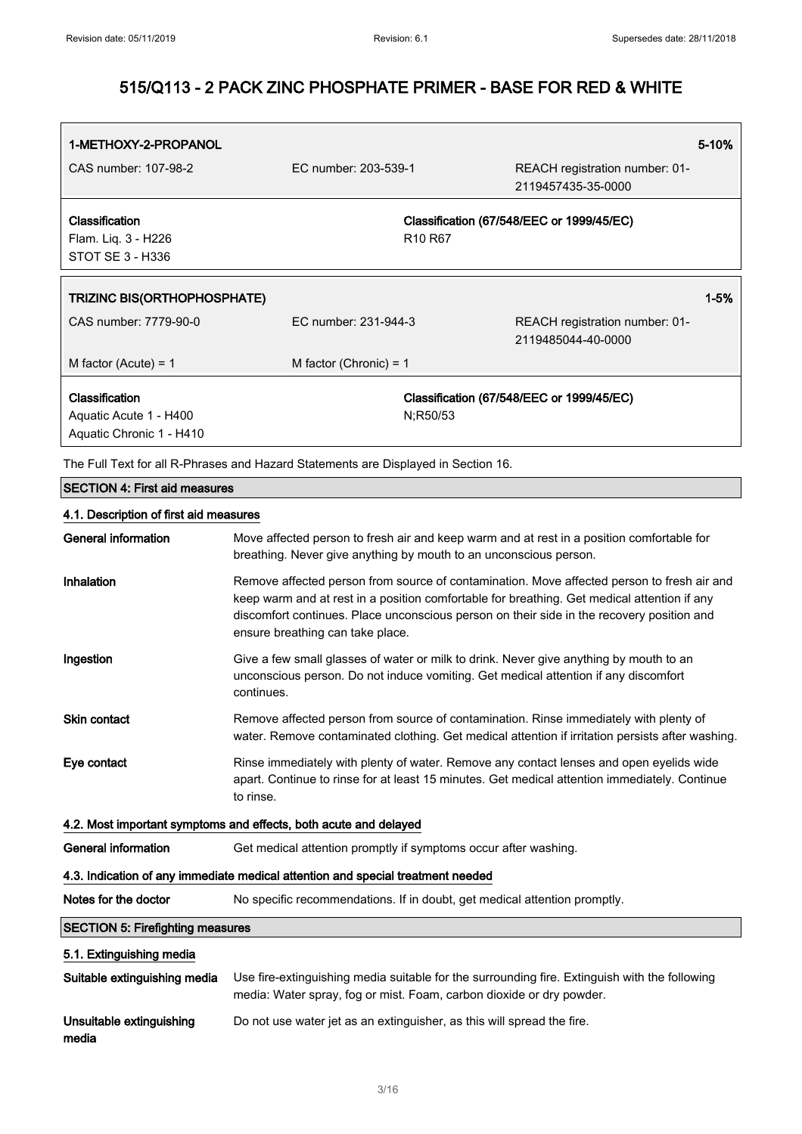| 1-METHOXY-2-PROPANOL                    |                                                                                                                                                                                                                                                                                                                            | 5-10%                                                                                         |
|-----------------------------------------|----------------------------------------------------------------------------------------------------------------------------------------------------------------------------------------------------------------------------------------------------------------------------------------------------------------------------|-----------------------------------------------------------------------------------------------|
| CAS number: 107-98-2                    | EC number: 203-539-1                                                                                                                                                                                                                                                                                                       | REACH registration number: 01-<br>2119457435-35-0000                                          |
| Classification                          |                                                                                                                                                                                                                                                                                                                            | Classification (67/548/EEC or 1999/45/EC)                                                     |
| Flam. Liq. 3 - H226                     | R <sub>10</sub> R <sub>67</sub>                                                                                                                                                                                                                                                                                            |                                                                                               |
| <b>STOT SE 3 - H336</b>                 |                                                                                                                                                                                                                                                                                                                            |                                                                                               |
| <b>TRIZINC BIS(ORTHOPHOSPHATE)</b>      |                                                                                                                                                                                                                                                                                                                            | $1 - 5%$                                                                                      |
| CAS number: 7779-90-0                   | EC number: 231-944-3                                                                                                                                                                                                                                                                                                       | REACH registration number: 01-<br>2119485044-40-0000                                          |
| M factor (Acute) = $1$                  | M factor (Chronic) = $1$                                                                                                                                                                                                                                                                                                   |                                                                                               |
| Classification                          |                                                                                                                                                                                                                                                                                                                            | Classification (67/548/EEC or 1999/45/EC)                                                     |
| Aquatic Acute 1 - H400                  | N;R50/53                                                                                                                                                                                                                                                                                                                   |                                                                                               |
| Aquatic Chronic 1 - H410                |                                                                                                                                                                                                                                                                                                                            |                                                                                               |
|                                         | The Full Text for all R-Phrases and Hazard Statements are Displayed in Section 16.                                                                                                                                                                                                                                         |                                                                                               |
| <b>SECTION 4: First aid measures</b>    |                                                                                                                                                                                                                                                                                                                            |                                                                                               |
| 4.1. Description of first aid measures  |                                                                                                                                                                                                                                                                                                                            |                                                                                               |
| <b>General information</b>              | Move affected person to fresh air and keep warm and at rest in a position comfortable for<br>breathing. Never give anything by mouth to an unconscious person.                                                                                                                                                             |                                                                                               |
| Inhalation                              | Remove affected person from source of contamination. Move affected person to fresh air and<br>keep warm and at rest in a position comfortable for breathing. Get medical attention if any<br>discomfort continues. Place unconscious person on their side in the recovery position and<br>ensure breathing can take place. |                                                                                               |
| Ingestion                               | Give a few small glasses of water or milk to drink. Never give anything by mouth to an<br>unconscious person. Do not induce vomiting. Get medical attention if any discomfort<br>continues.                                                                                                                                |                                                                                               |
| Skin contact                            | Remove affected person from source of contamination. Rinse immediately with plenty of<br>water. Remove contaminated clothing. Get medical attention if irritation persists after washing.                                                                                                                                  |                                                                                               |
| Eye contact                             | Rinse immediately with plenty of water. Remove any contact lenses and open eyelids wide<br>apart. Continue to rinse for at least 15 minutes. Get medical attention immediately. Continue<br>to rinse.                                                                                                                      |                                                                                               |
|                                         | 4.2. Most important symptoms and effects, both acute and delayed                                                                                                                                                                                                                                                           |                                                                                               |
| <b>General information</b>              | Get medical attention promptly if symptoms occur after washing.                                                                                                                                                                                                                                                            |                                                                                               |
|                                         | 4.3. Indication of any immediate medical attention and special treatment needed                                                                                                                                                                                                                                            |                                                                                               |
| Notes for the doctor                    | No specific recommendations. If in doubt, get medical attention promptly.                                                                                                                                                                                                                                                  |                                                                                               |
| <b>SECTION 5: Firefighting measures</b> |                                                                                                                                                                                                                                                                                                                            |                                                                                               |
| 5.1. Extinguishing media                |                                                                                                                                                                                                                                                                                                                            |                                                                                               |
| Suitable extinguishing media            | media: Water spray, fog or mist. Foam, carbon dioxide or dry powder.                                                                                                                                                                                                                                                       | Use fire-extinguishing media suitable for the surrounding fire. Extinguish with the following |

Unsuitable extinguishing Do not use water jet as an extinguisher, as this will spread the fire.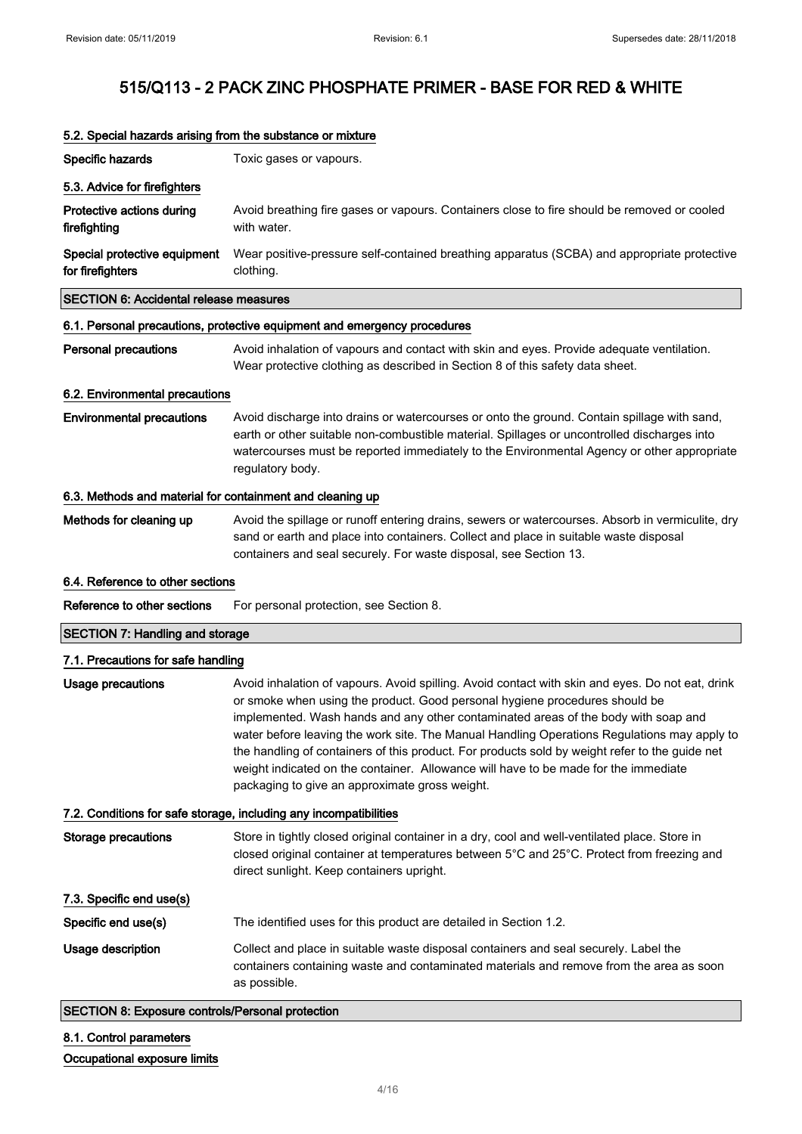$\blacksquare$ 

# 515/Q113 - 2 PACK ZINC PHOSPHATE PRIMER - BASE FOR RED & WHITE

| Specific hazards<br>Toxic gases or vapours.<br>5.3. Advice for firefighters<br>Protective actions during<br>Avoid breathing fire gases or vapours. Containers close to fire should be removed or cooled<br>firefighting<br>with water.<br>Special protective equipment<br>Wear positive-pressure self-contained breathing apparatus (SCBA) and appropriate protective<br>for firefighters<br>clothing.<br><b>SECTION 6: Accidental release measures</b><br>6.1. Personal precautions, protective equipment and emergency procedures<br><b>Personal precautions</b><br>Avoid inhalation of vapours and contact with skin and eyes. Provide adequate ventilation.<br>Wear protective clothing as described in Section 8 of this safety data sheet.<br>6.2. Environmental precautions<br><b>Environmental precautions</b><br>Avoid discharge into drains or watercourses or onto the ground. Contain spillage with sand,<br>earth or other suitable non-combustible material. Spillages or uncontrolled discharges into<br>watercourses must be reported immediately to the Environmental Agency or other appropriate<br>regulatory body.<br>6.3. Methods and material for containment and cleaning up<br>Methods for cleaning up<br>Avoid the spillage or runoff entering drains, sewers or watercourses. Absorb in vermiculite, dry<br>sand or earth and place into containers. Collect and place in suitable waste disposal<br>containers and seal securely. For waste disposal, see Section 13.<br>6.4. Reference to other sections<br>Reference to other sections<br>For personal protection, see Section 8.<br><b>SECTION 7: Handling and storage</b><br>7.1. Precautions for safe handling<br><b>Usage precautions</b><br>Avoid inhalation of vapours. Avoid spilling. Avoid contact with skin and eyes. Do not eat, drink<br>or smoke when using the product. Good personal hygiene procedures should be<br>implemented. Wash hands and any other contaminated areas of the body with soap and<br>water before leaving the work site. The Manual Handling Operations Regulations may apply to<br>the handling of containers of this product. For products sold by weight refer to the guide net<br>weight indicated on the container. Allowance will have to be made for the immediate<br>packaging to give an approximate gross weight.<br>7.2. Conditions for safe storage, including any incompatibilities<br><b>Storage precautions</b><br>Store in tightly closed original container in a dry, cool and well-ventilated place. Store in<br>closed original container at temperatures between 5°C and 25°C. Protect from freezing and<br>direct sunlight. Keep containers upright.<br>7.3. Specific end use(s)<br>Specific end use(s)<br>The identified uses for this product are detailed in Section 1.2.<br>Usage description<br>Collect and place in suitable waste disposal containers and seal securely. Label the<br>containers containing waste and contaminated materials and remove from the area as soon<br>as possible. | opoolal nasarao anong nom alo oabolanoo or mixiant |
|---------------------------------------------------------------------------------------------------------------------------------------------------------------------------------------------------------------------------------------------------------------------------------------------------------------------------------------------------------------------------------------------------------------------------------------------------------------------------------------------------------------------------------------------------------------------------------------------------------------------------------------------------------------------------------------------------------------------------------------------------------------------------------------------------------------------------------------------------------------------------------------------------------------------------------------------------------------------------------------------------------------------------------------------------------------------------------------------------------------------------------------------------------------------------------------------------------------------------------------------------------------------------------------------------------------------------------------------------------------------------------------------------------------------------------------------------------------------------------------------------------------------------------------------------------------------------------------------------------------------------------------------------------------------------------------------------------------------------------------------------------------------------------------------------------------------------------------------------------------------------------------------------------------------------------------------------------------------------------------------------------------------------------------------------------------------------------------------------------------------------------------------------------------------------------------------------------------------------------------------------------------------------------------------------------------------------------------------------------------------------------------------------------------------------------------------------------------------------------------------------------------------------------------------------------------------------------------------------------------------------------------------------------------------------------------------------------------------------------------------------------------------------------------------------------------------------------------------------------------------------------------------------------------------------------------------------------------------------------------------------------------------------------------------|----------------------------------------------------|
|                                                                                                                                                                                                                                                                                                                                                                                                                                                                                                                                                                                                                                                                                                                                                                                                                                                                                                                                                                                                                                                                                                                                                                                                                                                                                                                                                                                                                                                                                                                                                                                                                                                                                                                                                                                                                                                                                                                                                                                                                                                                                                                                                                                                                                                                                                                                                                                                                                                                                                                                                                                                                                                                                                                                                                                                                                                                                                                                                                                                                                             |                                                    |
|                                                                                                                                                                                                                                                                                                                                                                                                                                                                                                                                                                                                                                                                                                                                                                                                                                                                                                                                                                                                                                                                                                                                                                                                                                                                                                                                                                                                                                                                                                                                                                                                                                                                                                                                                                                                                                                                                                                                                                                                                                                                                                                                                                                                                                                                                                                                                                                                                                                                                                                                                                                                                                                                                                                                                                                                                                                                                                                                                                                                                                             |                                                    |
|                                                                                                                                                                                                                                                                                                                                                                                                                                                                                                                                                                                                                                                                                                                                                                                                                                                                                                                                                                                                                                                                                                                                                                                                                                                                                                                                                                                                                                                                                                                                                                                                                                                                                                                                                                                                                                                                                                                                                                                                                                                                                                                                                                                                                                                                                                                                                                                                                                                                                                                                                                                                                                                                                                                                                                                                                                                                                                                                                                                                                                             |                                                    |
|                                                                                                                                                                                                                                                                                                                                                                                                                                                                                                                                                                                                                                                                                                                                                                                                                                                                                                                                                                                                                                                                                                                                                                                                                                                                                                                                                                                                                                                                                                                                                                                                                                                                                                                                                                                                                                                                                                                                                                                                                                                                                                                                                                                                                                                                                                                                                                                                                                                                                                                                                                                                                                                                                                                                                                                                                                                                                                                                                                                                                                             |                                                    |
|                                                                                                                                                                                                                                                                                                                                                                                                                                                                                                                                                                                                                                                                                                                                                                                                                                                                                                                                                                                                                                                                                                                                                                                                                                                                                                                                                                                                                                                                                                                                                                                                                                                                                                                                                                                                                                                                                                                                                                                                                                                                                                                                                                                                                                                                                                                                                                                                                                                                                                                                                                                                                                                                                                                                                                                                                                                                                                                                                                                                                                             |                                                    |
|                                                                                                                                                                                                                                                                                                                                                                                                                                                                                                                                                                                                                                                                                                                                                                                                                                                                                                                                                                                                                                                                                                                                                                                                                                                                                                                                                                                                                                                                                                                                                                                                                                                                                                                                                                                                                                                                                                                                                                                                                                                                                                                                                                                                                                                                                                                                                                                                                                                                                                                                                                                                                                                                                                                                                                                                                                                                                                                                                                                                                                             |                                                    |
|                                                                                                                                                                                                                                                                                                                                                                                                                                                                                                                                                                                                                                                                                                                                                                                                                                                                                                                                                                                                                                                                                                                                                                                                                                                                                                                                                                                                                                                                                                                                                                                                                                                                                                                                                                                                                                                                                                                                                                                                                                                                                                                                                                                                                                                                                                                                                                                                                                                                                                                                                                                                                                                                                                                                                                                                                                                                                                                                                                                                                                             |                                                    |
|                                                                                                                                                                                                                                                                                                                                                                                                                                                                                                                                                                                                                                                                                                                                                                                                                                                                                                                                                                                                                                                                                                                                                                                                                                                                                                                                                                                                                                                                                                                                                                                                                                                                                                                                                                                                                                                                                                                                                                                                                                                                                                                                                                                                                                                                                                                                                                                                                                                                                                                                                                                                                                                                                                                                                                                                                                                                                                                                                                                                                                             |                                                    |
|                                                                                                                                                                                                                                                                                                                                                                                                                                                                                                                                                                                                                                                                                                                                                                                                                                                                                                                                                                                                                                                                                                                                                                                                                                                                                                                                                                                                                                                                                                                                                                                                                                                                                                                                                                                                                                                                                                                                                                                                                                                                                                                                                                                                                                                                                                                                                                                                                                                                                                                                                                                                                                                                                                                                                                                                                                                                                                                                                                                                                                             |                                                    |
|                                                                                                                                                                                                                                                                                                                                                                                                                                                                                                                                                                                                                                                                                                                                                                                                                                                                                                                                                                                                                                                                                                                                                                                                                                                                                                                                                                                                                                                                                                                                                                                                                                                                                                                                                                                                                                                                                                                                                                                                                                                                                                                                                                                                                                                                                                                                                                                                                                                                                                                                                                                                                                                                                                                                                                                                                                                                                                                                                                                                                                             |                                                    |
|                                                                                                                                                                                                                                                                                                                                                                                                                                                                                                                                                                                                                                                                                                                                                                                                                                                                                                                                                                                                                                                                                                                                                                                                                                                                                                                                                                                                                                                                                                                                                                                                                                                                                                                                                                                                                                                                                                                                                                                                                                                                                                                                                                                                                                                                                                                                                                                                                                                                                                                                                                                                                                                                                                                                                                                                                                                                                                                                                                                                                                             |                                                    |
|                                                                                                                                                                                                                                                                                                                                                                                                                                                                                                                                                                                                                                                                                                                                                                                                                                                                                                                                                                                                                                                                                                                                                                                                                                                                                                                                                                                                                                                                                                                                                                                                                                                                                                                                                                                                                                                                                                                                                                                                                                                                                                                                                                                                                                                                                                                                                                                                                                                                                                                                                                                                                                                                                                                                                                                                                                                                                                                                                                                                                                             |                                                    |
|                                                                                                                                                                                                                                                                                                                                                                                                                                                                                                                                                                                                                                                                                                                                                                                                                                                                                                                                                                                                                                                                                                                                                                                                                                                                                                                                                                                                                                                                                                                                                                                                                                                                                                                                                                                                                                                                                                                                                                                                                                                                                                                                                                                                                                                                                                                                                                                                                                                                                                                                                                                                                                                                                                                                                                                                                                                                                                                                                                                                                                             |                                                    |
|                                                                                                                                                                                                                                                                                                                                                                                                                                                                                                                                                                                                                                                                                                                                                                                                                                                                                                                                                                                                                                                                                                                                                                                                                                                                                                                                                                                                                                                                                                                                                                                                                                                                                                                                                                                                                                                                                                                                                                                                                                                                                                                                                                                                                                                                                                                                                                                                                                                                                                                                                                                                                                                                                                                                                                                                                                                                                                                                                                                                                                             |                                                    |
|                                                                                                                                                                                                                                                                                                                                                                                                                                                                                                                                                                                                                                                                                                                                                                                                                                                                                                                                                                                                                                                                                                                                                                                                                                                                                                                                                                                                                                                                                                                                                                                                                                                                                                                                                                                                                                                                                                                                                                                                                                                                                                                                                                                                                                                                                                                                                                                                                                                                                                                                                                                                                                                                                                                                                                                                                                                                                                                                                                                                                                             |                                                    |
|                                                                                                                                                                                                                                                                                                                                                                                                                                                                                                                                                                                                                                                                                                                                                                                                                                                                                                                                                                                                                                                                                                                                                                                                                                                                                                                                                                                                                                                                                                                                                                                                                                                                                                                                                                                                                                                                                                                                                                                                                                                                                                                                                                                                                                                                                                                                                                                                                                                                                                                                                                                                                                                                                                                                                                                                                                                                                                                                                                                                                                             |                                                    |
|                                                                                                                                                                                                                                                                                                                                                                                                                                                                                                                                                                                                                                                                                                                                                                                                                                                                                                                                                                                                                                                                                                                                                                                                                                                                                                                                                                                                                                                                                                                                                                                                                                                                                                                                                                                                                                                                                                                                                                                                                                                                                                                                                                                                                                                                                                                                                                                                                                                                                                                                                                                                                                                                                                                                                                                                                                                                                                                                                                                                                                             |                                                    |
|                                                                                                                                                                                                                                                                                                                                                                                                                                                                                                                                                                                                                                                                                                                                                                                                                                                                                                                                                                                                                                                                                                                                                                                                                                                                                                                                                                                                                                                                                                                                                                                                                                                                                                                                                                                                                                                                                                                                                                                                                                                                                                                                                                                                                                                                                                                                                                                                                                                                                                                                                                                                                                                                                                                                                                                                                                                                                                                                                                                                                                             |                                                    |
|                                                                                                                                                                                                                                                                                                                                                                                                                                                                                                                                                                                                                                                                                                                                                                                                                                                                                                                                                                                                                                                                                                                                                                                                                                                                                                                                                                                                                                                                                                                                                                                                                                                                                                                                                                                                                                                                                                                                                                                                                                                                                                                                                                                                                                                                                                                                                                                                                                                                                                                                                                                                                                                                                                                                                                                                                                                                                                                                                                                                                                             |                                                    |
|                                                                                                                                                                                                                                                                                                                                                                                                                                                                                                                                                                                                                                                                                                                                                                                                                                                                                                                                                                                                                                                                                                                                                                                                                                                                                                                                                                                                                                                                                                                                                                                                                                                                                                                                                                                                                                                                                                                                                                                                                                                                                                                                                                                                                                                                                                                                                                                                                                                                                                                                                                                                                                                                                                                                                                                                                                                                                                                                                                                                                                             |                                                    |
|                                                                                                                                                                                                                                                                                                                                                                                                                                                                                                                                                                                                                                                                                                                                                                                                                                                                                                                                                                                                                                                                                                                                                                                                                                                                                                                                                                                                                                                                                                                                                                                                                                                                                                                                                                                                                                                                                                                                                                                                                                                                                                                                                                                                                                                                                                                                                                                                                                                                                                                                                                                                                                                                                                                                                                                                                                                                                                                                                                                                                                             |                                                    |

### 5.2. Special hazards arising from the substance or mixture

SECTION 8: Exposure controls/Personal protection

8.1. Control parameters Occupational exposure limits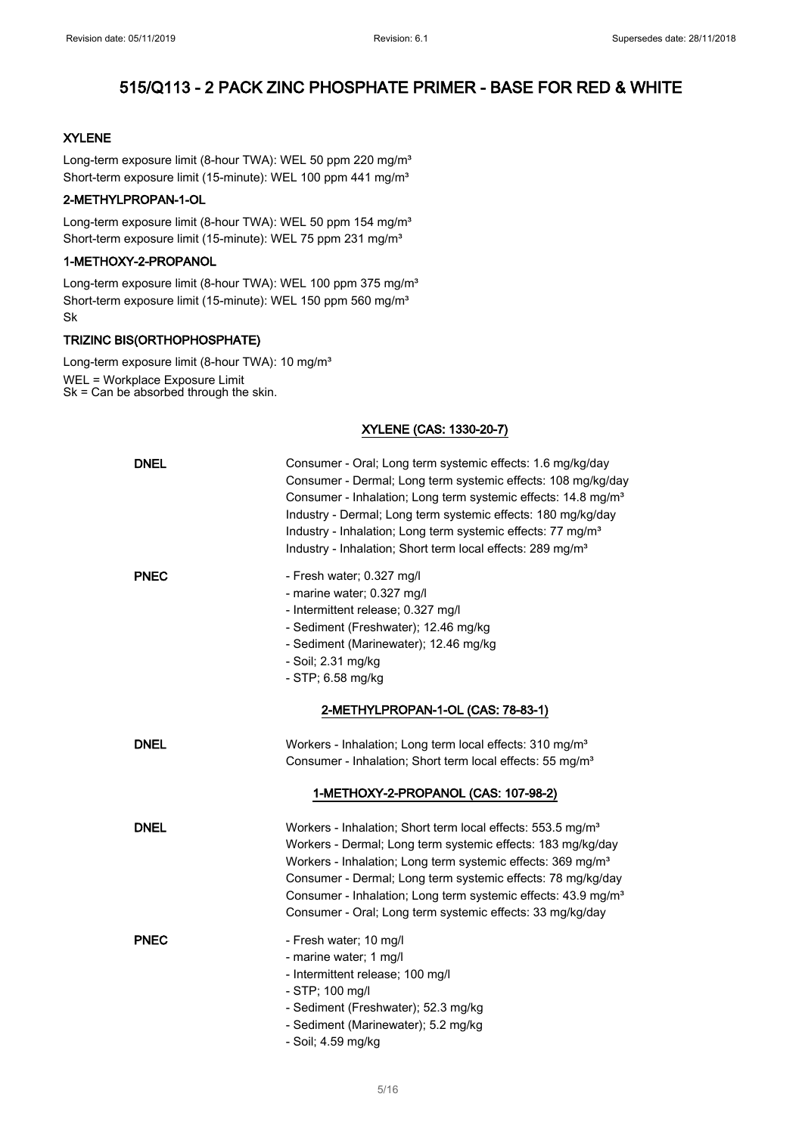### XYLENE

Long-term exposure limit (8-hour TWA): WEL 50 ppm 220 mg/m<sup>3</sup> Short-term exposure limit (15-minute): WEL 100 ppm 441 mg/m<sup>3</sup>

## 2-METHYLPROPAN-1-OL

Long-term exposure limit (8-hour TWA): WEL 50 ppm 154 mg/m<sup>3</sup> Short-term exposure limit (15-minute): WEL 75 ppm 231 mg/m<sup>3</sup>

### 1-METHOXY-2-PROPANOL

Long-term exposure limit (8-hour TWA): WEL 100 ppm 375 mg/m<sup>3</sup> Short-term exposure limit (15-minute): WEL 150 ppm 560 mg/m<sup>3</sup> Sk

### TRIZINC BIS(ORTHOPHOSPHATE)

Long-term exposure limit (8-hour TWA): 10 mg/m<sup>3</sup> WEL = Workplace Exposure Limit Sk = Can be absorbed through the skin.

### XYLENE (CAS: 1330-20-7)

| <b>DNEL</b> | Consumer - Oral; Long term systemic effects: 1.6 mg/kg/day<br>Consumer - Dermal; Long term systemic effects: 108 mg/kg/day<br>Consumer - Inhalation; Long term systemic effects: 14.8 mg/m <sup>3</sup><br>Industry - Dermal; Long term systemic effects: 180 mg/kg/day<br>Industry - Inhalation; Long term systemic effects: 77 mg/m <sup>3</sup><br>Industry - Inhalation; Short term local effects: 289 mg/m <sup>3</sup> |
|-------------|------------------------------------------------------------------------------------------------------------------------------------------------------------------------------------------------------------------------------------------------------------------------------------------------------------------------------------------------------------------------------------------------------------------------------|
| <b>PNEC</b> | - Fresh water; 0.327 mg/l<br>- marine water; 0.327 mg/l<br>- Intermittent release; 0.327 mg/l<br>- Sediment (Freshwater); 12.46 mg/kg<br>- Sediment (Marinewater); 12.46 mg/kg<br>- Soil; 2.31 mg/kg<br>- STP; 6.58 mg/kg                                                                                                                                                                                                    |
|             | 2-METHYLPROPAN-1-OL (CAS: 78-83-1)                                                                                                                                                                                                                                                                                                                                                                                           |
| <b>DNEL</b> | Workers - Inhalation; Long term local effects: 310 mg/m <sup>3</sup><br>Consumer - Inhalation; Short term local effects: 55 mg/m <sup>3</sup>                                                                                                                                                                                                                                                                                |
|             | 1-METHOXY-2-PROPANOL (CAS: 107-98-2)                                                                                                                                                                                                                                                                                                                                                                                         |
| <b>DNEL</b> | Workers - Inhalation; Short term local effects: 553.5 mg/m <sup>3</sup><br>Workers - Dermal; Long term systemic effects: 183 mg/kg/day<br>Workers - Inhalation; Long term systemic effects: 369 mg/m <sup>3</sup><br>Consumer - Dermal; Long term systemic effects: 78 mg/kg/day<br>Consumer - Inhalation; Long term systemic effects: 43.9 mg/m <sup>3</sup><br>Consumer - Oral; Long term systemic effects: 33 mg/kg/day   |
| <b>PNEC</b> | - Fresh water; 10 mg/l<br>- marine water; 1 mg/l<br>- Intermittent release; 100 mg/l<br>- STP; 100 mg/l<br>- Sediment (Freshwater); 52.3 mg/kg<br>- Sediment (Marinewater); 5.2 mg/kg<br>- Soil; 4.59 mg/kg                                                                                                                                                                                                                  |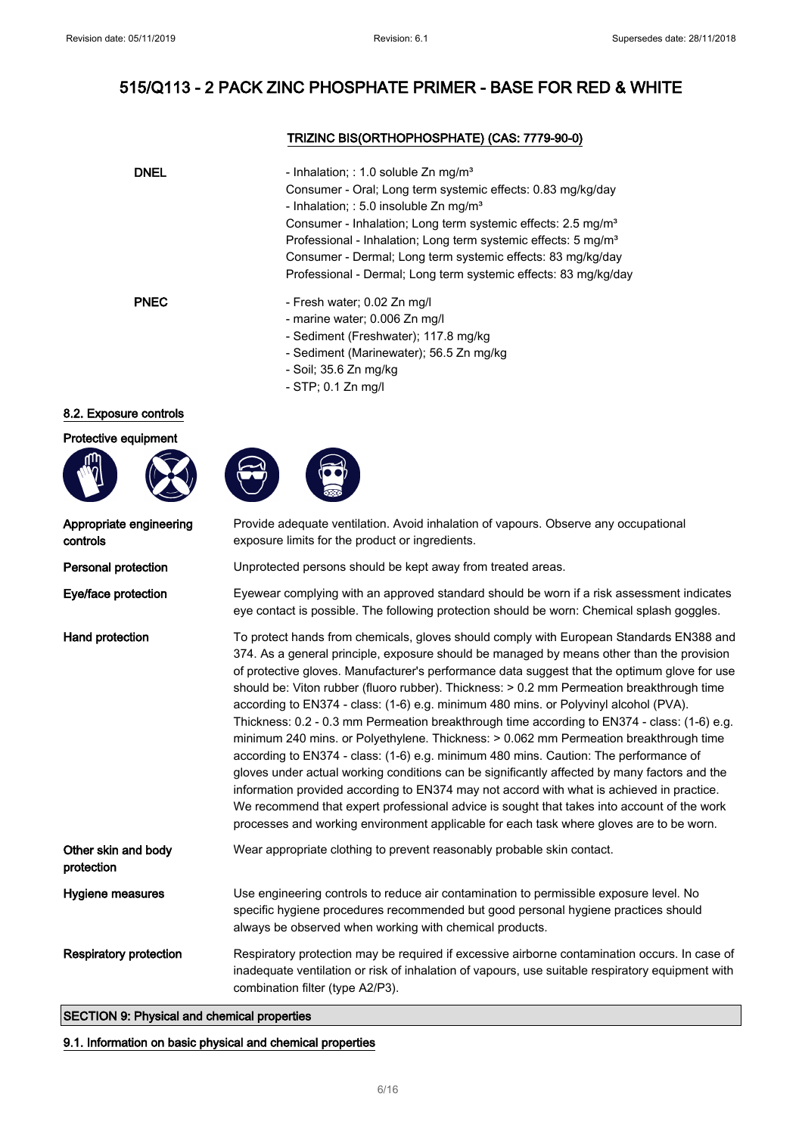## TRIZINC BIS(ORTHOPHOSPHATE) (CAS: 7779-90-0)

| <b>DNEL</b> | - Inhalation; : 1.0 soluble $Zn$ mg/m <sup>3</sup><br>Consumer - Oral; Long term systemic effects: 0.83 mg/kg/day<br>- Inhalation; : 5.0 insoluble $Zn$ mg/m <sup>3</sup><br>Consumer - Inhalation; Long term systemic effects: 2.5 mg/m <sup>3</sup><br>Professional - Inhalation; Long term systemic effects: 5 mg/m <sup>3</sup><br>Consumer - Dermal; Long term systemic effects: 83 mg/kg/day<br>Professional - Dermal; Long term systemic effects: 83 mg/kg/day |
|-------------|-----------------------------------------------------------------------------------------------------------------------------------------------------------------------------------------------------------------------------------------------------------------------------------------------------------------------------------------------------------------------------------------------------------------------------------------------------------------------|
| <b>PNEC</b> | - Fresh water; 0.02 Zn mg/l<br>- marine water; 0.006 Zn mg/l<br>- Sediment (Freshwater); 117.8 mg/kg<br>- Sediment (Marinewater); 56.5 Zn mg/kg<br>- Soil; 35.6 Zn mg/kg<br>$-$ STP; 0.1 Zn mg/l                                                                                                                                                                                                                                                                      |

### 8.2. Exposure controls

### Protective equipment







| Appropriate engineering<br>controls | Provide adequate ventilation. Avoid inhalation of vapours. Observe any occupational<br>exposure limits for the product or ingredients.                                                                                                                                                                                                                                                                                                                                                                                                                                                                                                                                                                                                                                                                                                                                                                                                                                                                                                                                                                                                          |
|-------------------------------------|-------------------------------------------------------------------------------------------------------------------------------------------------------------------------------------------------------------------------------------------------------------------------------------------------------------------------------------------------------------------------------------------------------------------------------------------------------------------------------------------------------------------------------------------------------------------------------------------------------------------------------------------------------------------------------------------------------------------------------------------------------------------------------------------------------------------------------------------------------------------------------------------------------------------------------------------------------------------------------------------------------------------------------------------------------------------------------------------------------------------------------------------------|
| Personal protection                 | Unprotected persons should be kept away from treated areas.                                                                                                                                                                                                                                                                                                                                                                                                                                                                                                                                                                                                                                                                                                                                                                                                                                                                                                                                                                                                                                                                                     |
| Eye/face protection                 | Eyewear complying with an approved standard should be worn if a risk assessment indicates<br>eye contact is possible. The following protection should be worn: Chemical splash goggles.                                                                                                                                                                                                                                                                                                                                                                                                                                                                                                                                                                                                                                                                                                                                                                                                                                                                                                                                                         |
| <b>Hand protection</b>              | To protect hands from chemicals, gloves should comply with European Standards EN388 and<br>374. As a general principle, exposure should be managed by means other than the provision<br>of protective gloves. Manufacturer's performance data suggest that the optimum glove for use<br>should be: Viton rubber (fluoro rubber). Thickness: > 0.2 mm Permeation breakthrough time<br>according to EN374 - class: (1-6) e.g. minimum 480 mins. or Polyvinyl alcohol (PVA).<br>Thickness: 0.2 - 0.3 mm Permeation breakthrough time according to EN374 - class: (1-6) e.g.<br>minimum 240 mins. or Polyethylene. Thickness: > 0.062 mm Permeation breakthrough time<br>according to EN374 - class: (1-6) e.g. minimum 480 mins. Caution: The performance of<br>gloves under actual working conditions can be significantly affected by many factors and the<br>information provided according to EN374 may not accord with what is achieved in practice.<br>We recommend that expert professional advice is sought that takes into account of the work<br>processes and working environment applicable for each task where gloves are to be worn. |
| Other skin and body<br>protection   | Wear appropriate clothing to prevent reasonably probable skin contact.                                                                                                                                                                                                                                                                                                                                                                                                                                                                                                                                                                                                                                                                                                                                                                                                                                                                                                                                                                                                                                                                          |
| Hygiene measures                    | Use engineering controls to reduce air contamination to permissible exposure level. No<br>specific hygiene procedures recommended but good personal hygiene practices should<br>always be observed when working with chemical products.                                                                                                                                                                                                                                                                                                                                                                                                                                                                                                                                                                                                                                                                                                                                                                                                                                                                                                         |
| <b>Respiratory protection</b>       | Respiratory protection may be required if excessive airborne contamination occurs. In case of<br>inadequate ventilation or risk of inhalation of vapours, use suitable respiratory equipment with<br>combination filter (type A2/P3).                                                                                                                                                                                                                                                                                                                                                                                                                                                                                                                                                                                                                                                                                                                                                                                                                                                                                                           |

## SECTION 9: Physical and chemical properties

### 9.1. Information on basic physical and chemical properties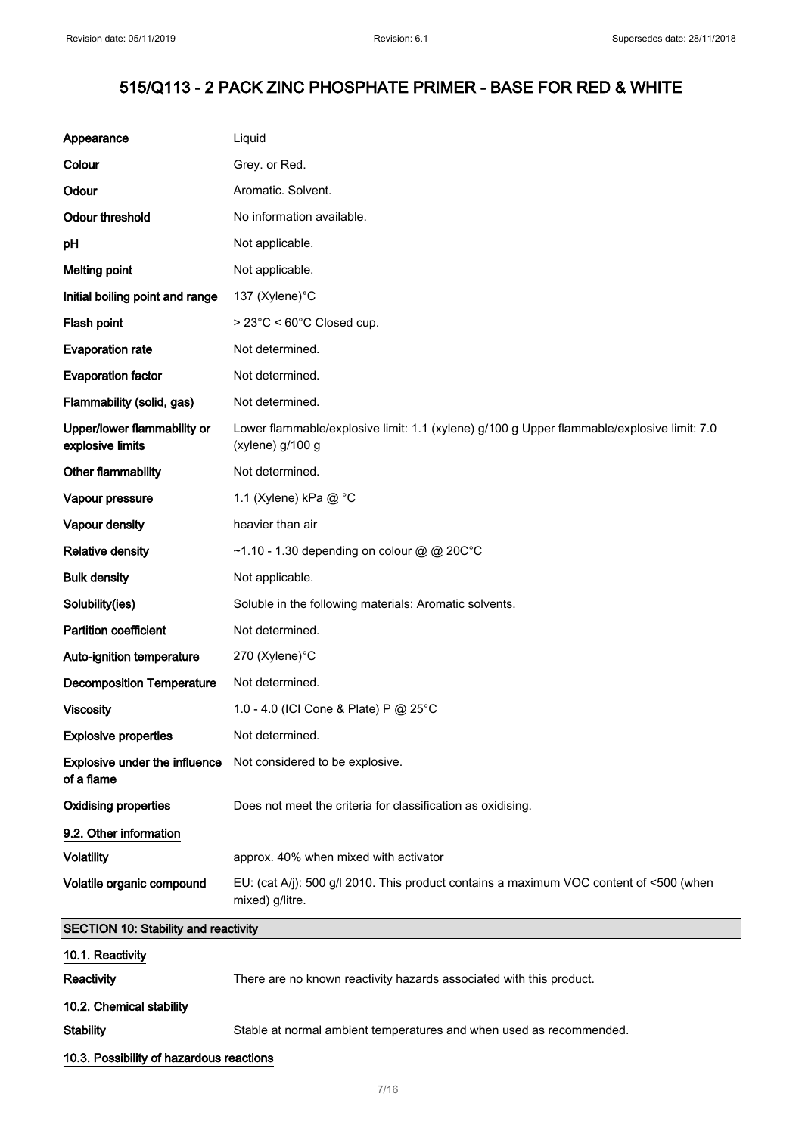$\mathbb{R}^2$ 

# 515/Q113 - 2 PACK ZINC PHOSPHATE PRIMER - BASE FOR RED & WHITE

| Appearance                                      | Liquid                                                                                                         |
|-------------------------------------------------|----------------------------------------------------------------------------------------------------------------|
| Colour                                          | Grey. or Red.                                                                                                  |
| Odour                                           | Aromatic. Solvent.                                                                                             |
| <b>Odour threshold</b>                          | No information available.                                                                                      |
| pH                                              | Not applicable.                                                                                                |
| <b>Melting point</b>                            | Not applicable.                                                                                                |
| Initial boiling point and range                 | 137 (Xylene)°C                                                                                                 |
| Flash point                                     | > 23°C < 60°C Closed cup.                                                                                      |
| <b>Evaporation rate</b>                         | Not determined.                                                                                                |
| <b>Evaporation factor</b>                       | Not determined.                                                                                                |
| Flammability (solid, gas)                       | Not determined.                                                                                                |
| Upper/lower flammability or<br>explosive limits | Lower flammable/explosive limit: 1.1 (xylene) g/100 g Upper flammable/explosive limit: 7.0<br>(xylene) g/100 g |
| Other flammability                              | Not determined.                                                                                                |
| Vapour pressure                                 | 1.1 (Xylene) kPa @ °C                                                                                          |
| Vapour density                                  | heavier than air                                                                                               |
| <b>Relative density</b>                         | ~1.10 - 1.30 depending on colour @ @ 20C°C                                                                     |
| <b>Bulk density</b>                             | Not applicable.                                                                                                |
| Solubility(ies)                                 | Soluble in the following materials: Aromatic solvents.                                                         |
| <b>Partition coefficient</b>                    | Not determined.                                                                                                |
| Auto-ignition temperature                       | 270 (Xylene)°C                                                                                                 |
| <b>Decomposition Temperature</b>                | Not determined.                                                                                                |
| <b>Viscosity</b>                                | 1.0 - 4.0 (ICI Cone & Plate) P @ 25°C                                                                          |
| <b>Explosive properties</b>                     | Not determined.                                                                                                |
| Explosive under the influence<br>of a flame     | Not considered to be explosive.                                                                                |
| <b>Oxidising properties</b>                     | Does not meet the criteria for classification as oxidising.                                                    |
| 9.2. Other information                          |                                                                                                                |
| <b>Volatility</b>                               | approx. 40% when mixed with activator                                                                          |
| Volatile organic compound                       | EU: (cat A/j): 500 g/l 2010. This product contains a maximum VOC content of <500 (when<br>mixed) g/litre.      |
| <b>SECTION 10: Stability and reactivity</b>     |                                                                                                                |
| 10.1. Reactivity                                |                                                                                                                |
| Reactivity                                      | There are no known reactivity hazards associated with this product.                                            |
| 10.2. Chemical stability                        |                                                                                                                |
| <b>Stability</b>                                | Stable at normal ambient temperatures and when used as recommended.                                            |
| 10.3. Possibility of hazardous reactions        |                                                                                                                |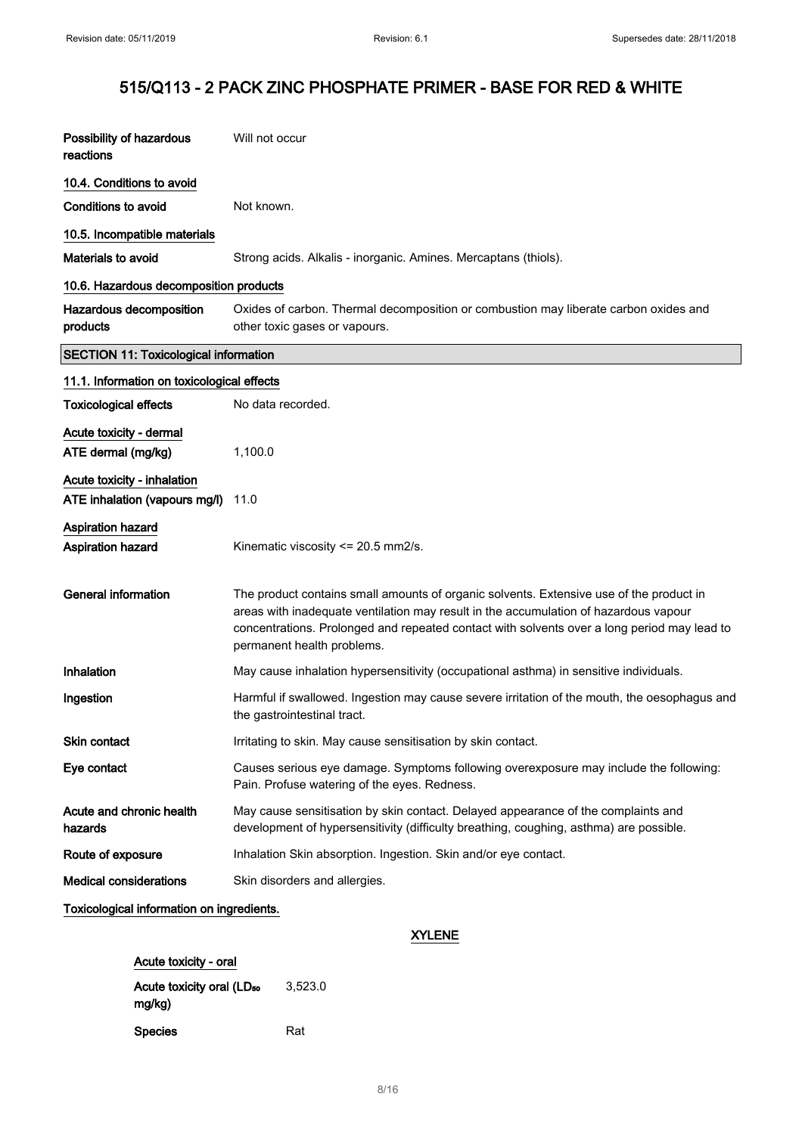| Possibility of hazardous<br>reactions                        | Will not occur                                                                                                                                                                                                                                                                                               |
|--------------------------------------------------------------|--------------------------------------------------------------------------------------------------------------------------------------------------------------------------------------------------------------------------------------------------------------------------------------------------------------|
| 10.4. Conditions to avoid                                    |                                                                                                                                                                                                                                                                                                              |
| <b>Conditions to avoid</b>                                   | Not known.                                                                                                                                                                                                                                                                                                   |
| 10.5. Incompatible materials                                 |                                                                                                                                                                                                                                                                                                              |
| Materials to avoid                                           | Strong acids. Alkalis - inorganic. Amines. Mercaptans (thiols).                                                                                                                                                                                                                                              |
| 10.6. Hazardous decomposition products                       |                                                                                                                                                                                                                                                                                                              |
| Hazardous decomposition<br>products                          | Oxides of carbon. Thermal decomposition or combustion may liberate carbon oxides and<br>other toxic gases or vapours.                                                                                                                                                                                        |
| <b>SECTION 11: Toxicological information</b>                 |                                                                                                                                                                                                                                                                                                              |
| 11.1. Information on toxicological effects                   |                                                                                                                                                                                                                                                                                                              |
| <b>Toxicological effects</b>                                 | No data recorded.                                                                                                                                                                                                                                                                                            |
| Acute toxicity - dermal<br>ATE dermal (mg/kg)                | 1,100.0                                                                                                                                                                                                                                                                                                      |
| Acute toxicity - inhalation<br>ATE inhalation (vapours mg/l) | 11.0                                                                                                                                                                                                                                                                                                         |
| <b>Aspiration hazard</b><br>Aspiration hazard                | Kinematic viscosity <= 20.5 mm2/s.                                                                                                                                                                                                                                                                           |
| <b>General information</b>                                   | The product contains small amounts of organic solvents. Extensive use of the product in<br>areas with inadequate ventilation may result in the accumulation of hazardous vapour<br>concentrations. Prolonged and repeated contact with solvents over a long period may lead to<br>permanent health problems. |
| Inhalation                                                   | May cause inhalation hypersensitivity (occupational asthma) in sensitive individuals.                                                                                                                                                                                                                        |
| Ingestion                                                    | Harmful if swallowed. Ingestion may cause severe irritation of the mouth, the oesophagus and<br>the gastrointestinal tract.                                                                                                                                                                                  |
| Skin contact                                                 | Irritating to skin. May cause sensitisation by skin contact.                                                                                                                                                                                                                                                 |
| Eye contact                                                  | Causes serious eye damage. Symptoms following overexposure may include the following:<br>Pain. Profuse watering of the eyes. Redness.                                                                                                                                                                        |
| Acute and chronic health<br>hazards                          | May cause sensitisation by skin contact. Delayed appearance of the complaints and<br>development of hypersensitivity (difficulty breathing, coughing, asthma) are possible.                                                                                                                                  |
| Route of exposure                                            | Inhalation Skin absorption. Ingestion. Skin and/or eye contact.                                                                                                                                                                                                                                              |
| <b>Medical considerations</b>                                | Skin disorders and allergies.                                                                                                                                                                                                                                                                                |
| Toxicological information on ingredients.                    |                                                                                                                                                                                                                                                                                                              |

### XYLENE

| Acute toxicity - oral                 |         |
|---------------------------------------|---------|
| Acute toxicity oral (LD <sub>50</sub> | 3.523.0 |
| mg/kg)                                |         |
| Species                               | Rat     |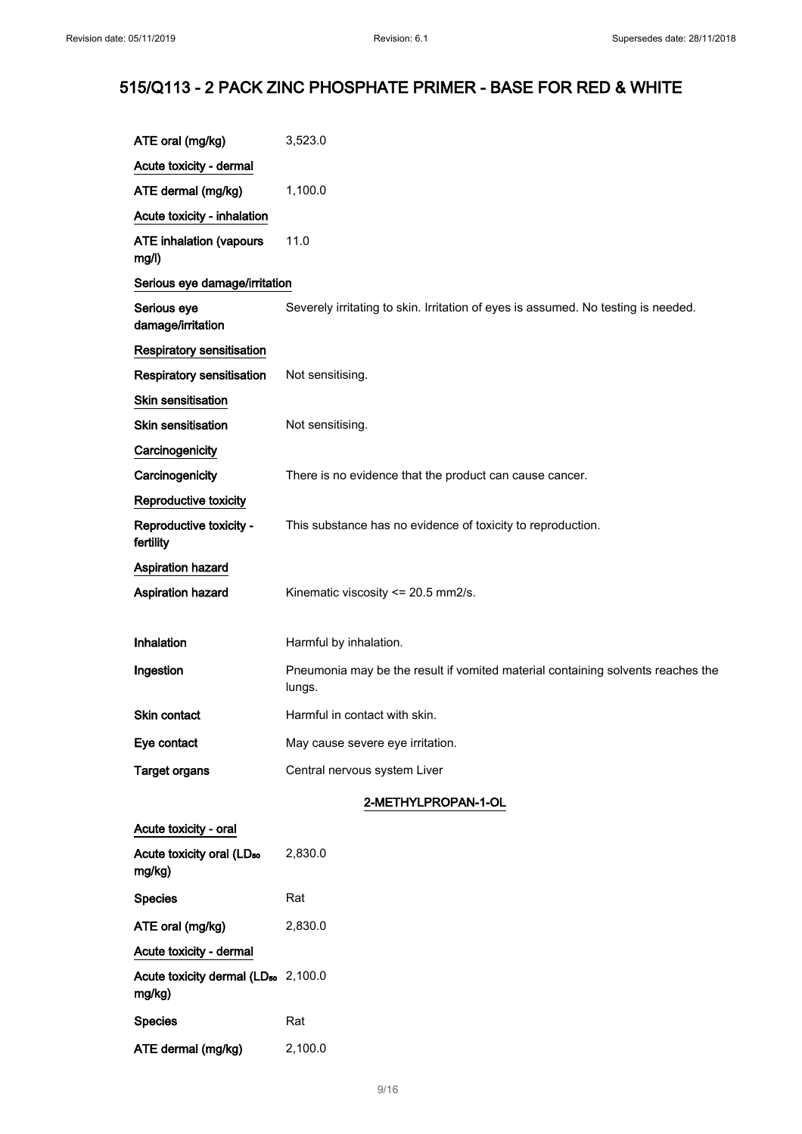| ATE oral (mg/kg)                                          | 3,523.0                                                                                   |
|-----------------------------------------------------------|-------------------------------------------------------------------------------------------|
| Acute toxicity - dermal                                   |                                                                                           |
| ATE dermal (mg/kg)                                        | 1,100.0                                                                                   |
| Acute toxicity - inhalation                               |                                                                                           |
| <b>ATE inhalation (vapours</b><br>mg/l)                   | 11.0                                                                                      |
| Serious eye damage/irritation                             |                                                                                           |
| Serious eye<br>damage/irritation                          | Severely irritating to skin. Irritation of eyes is assumed. No testing is needed.         |
| Respiratory sensitisation                                 |                                                                                           |
| Respiratory sensitisation                                 | Not sensitising.                                                                          |
| Skin sensitisation                                        |                                                                                           |
| <b>Skin sensitisation</b>                                 | Not sensitising.                                                                          |
| Carcinogenicity                                           |                                                                                           |
| Carcinogenicity                                           | There is no evidence that the product can cause cancer.                                   |
| Reproductive toxicity                                     |                                                                                           |
| Reproductive toxicity -<br>fertility                      | This substance has no evidence of toxicity to reproduction.                               |
| <b>Aspiration hazard</b>                                  |                                                                                           |
| Aspiration hazard                                         | Kinematic viscosity <= 20.5 mm2/s.                                                        |
|                                                           |                                                                                           |
| Inhalation                                                | Harmful by inhalation.                                                                    |
| Ingestion                                                 | Pneumonia may be the result if vomited material containing solvents reaches the<br>lungs. |
| Skin contact                                              | Harmful in contact with skin.                                                             |
| Eye contact                                               | May cause severe eye irritation.                                                          |
| <b>Target organs</b>                                      | Central nervous system Liver                                                              |
|                                                           | 2-METHYLPROPAN-1-OL                                                                       |
| Acute toxicity - oral                                     |                                                                                           |
| Acute toxicity oral (LD <sub>50</sub><br>mg/kg)           | 2,830.0                                                                                   |
| <b>Species</b>                                            | Rat                                                                                       |
| ATE oral (mg/kg)                                          | 2,830.0                                                                                   |
| Acute toxicity - dermal                                   |                                                                                           |
| Acute toxicity dermal (LD <sub>50</sub> 2,100.0<br>mg/kg) |                                                                                           |
| <b>Species</b>                                            | Rat                                                                                       |
| ATE dermal (mg/kg)                                        | 2,100.0                                                                                   |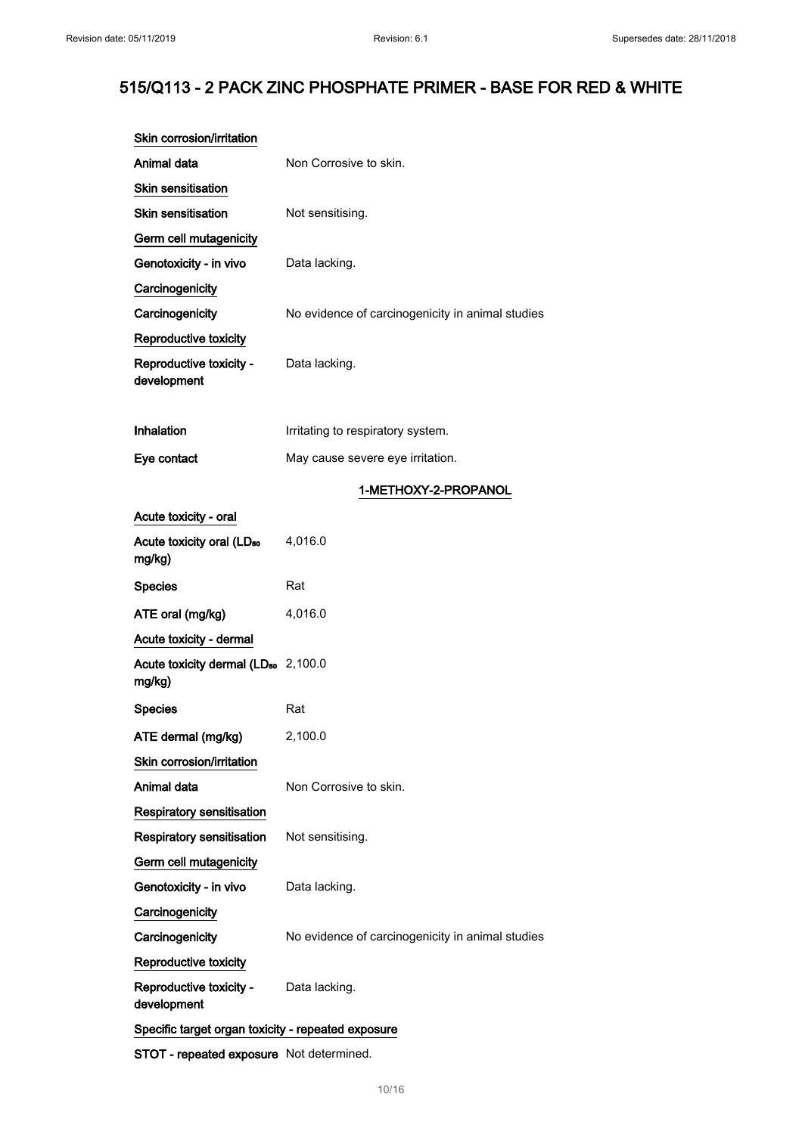| Non Corrosive to skin.                             |  |  |
|----------------------------------------------------|--|--|
|                                                    |  |  |
| Not sensitising.                                   |  |  |
|                                                    |  |  |
| Data lacking.                                      |  |  |
|                                                    |  |  |
| No evidence of carcinogenicity in animal studies   |  |  |
|                                                    |  |  |
| Data lacking.                                      |  |  |
| Irritating to respiratory system.                  |  |  |
| May cause severe eye irritation.                   |  |  |
| 1-METHOXY-2-PROPANOL                               |  |  |
|                                                    |  |  |
| 4,016.0                                            |  |  |
| Rat                                                |  |  |
| 4,016.0                                            |  |  |
|                                                    |  |  |
| Acute toxicity dermal (LD <sub>50</sub> 2,100.0    |  |  |
| Rat                                                |  |  |
| 2,100.0                                            |  |  |
|                                                    |  |  |
| Non Corrosive to skin.                             |  |  |
|                                                    |  |  |
| Not sensitising.                                   |  |  |
|                                                    |  |  |
| Data lacking.                                      |  |  |
|                                                    |  |  |
| No evidence of carcinogenicity in animal studies   |  |  |
|                                                    |  |  |
| Data lacking.                                      |  |  |
| Specific target organ toxicity - repeated exposure |  |  |
|                                                    |  |  |

STOT - repeated exposure Not determined.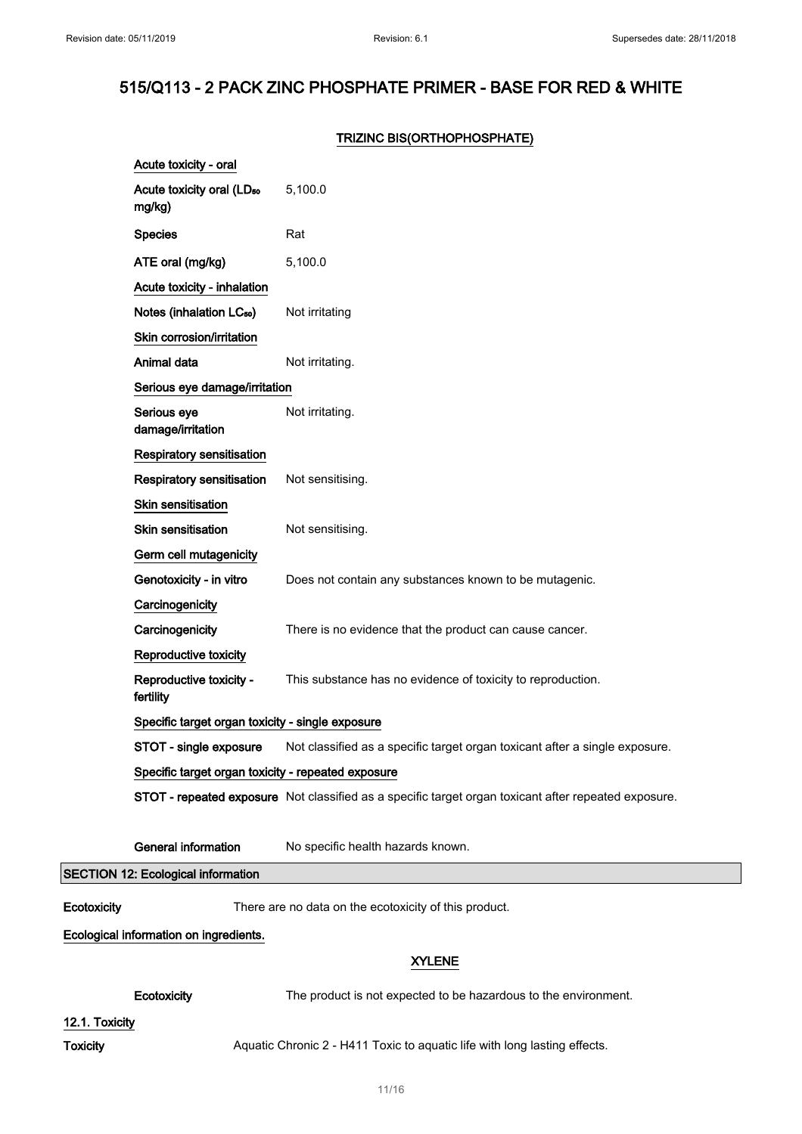### TRIZINC BIS(ORTHOPHOSPHATE)

|                                           | Acute toxicity - oral                              |                                                                                                      |
|-------------------------------------------|----------------------------------------------------|------------------------------------------------------------------------------------------------------|
|                                           | Acute toxicity oral (LD <sub>50</sub><br>mg/kg)    | 5,100.0                                                                                              |
|                                           | <b>Species</b>                                     | Rat                                                                                                  |
|                                           | ATE oral (mg/kg)                                   | 5,100.0                                                                                              |
|                                           | Acute toxicity - inhalation                        |                                                                                                      |
|                                           | Notes (inhalation LC <sub>50</sub> )               | Not irritating                                                                                       |
|                                           | Skin corrosion/irritation                          |                                                                                                      |
|                                           | Animal data                                        | Not irritating.                                                                                      |
|                                           | Serious eye damage/irritation                      |                                                                                                      |
|                                           | Serious eye<br>damage/irritation                   | Not irritating.                                                                                      |
|                                           | <b>Respiratory sensitisation</b>                   |                                                                                                      |
|                                           | <b>Respiratory sensitisation</b>                   | Not sensitising.                                                                                     |
|                                           | <b>Skin sensitisation</b>                          |                                                                                                      |
|                                           | <b>Skin sensitisation</b>                          | Not sensitising.                                                                                     |
|                                           | Germ cell mutagenicity                             |                                                                                                      |
|                                           | Genotoxicity - in vitro                            | Does not contain any substances known to be mutagenic.                                               |
|                                           | Carcinogenicity                                    |                                                                                                      |
|                                           | Carcinogenicity                                    | There is no evidence that the product can cause cancer.                                              |
|                                           | Reproductive toxicity                              |                                                                                                      |
|                                           | Reproductive toxicity -<br>fertility               | This substance has no evidence of toxicity to reproduction.                                          |
|                                           | Specific target organ toxicity - single exposure   |                                                                                                      |
|                                           | STOT - single exposure                             | Not classified as a specific target organ toxicant after a single exposure.                          |
|                                           | Specific target organ toxicity - repeated exposure |                                                                                                      |
|                                           |                                                    | STOT - repeated exposure Not classified as a specific target organ toxicant after repeated exposure. |
|                                           | <b>General information</b>                         | No specific health hazards known.                                                                    |
| <b>SECTION 12: Ecological information</b> |                                                    |                                                                                                      |
| Ecotoxicity                               |                                                    | There are no data on the ecotoxicity of this product.                                                |
| Ecological information on ingredients.    |                                                    |                                                                                                      |
|                                           |                                                    | <b>XYLENE</b>                                                                                        |
|                                           | Ecotoxicity                                        | The product is not expected to be hazardous to the environment.                                      |
| 12.1. Toxicity                            |                                                    |                                                                                                      |
| <b>Toxicity</b>                           |                                                    | Aquatic Chronic 2 - H411 Toxic to aquatic life with long lasting effects.                            |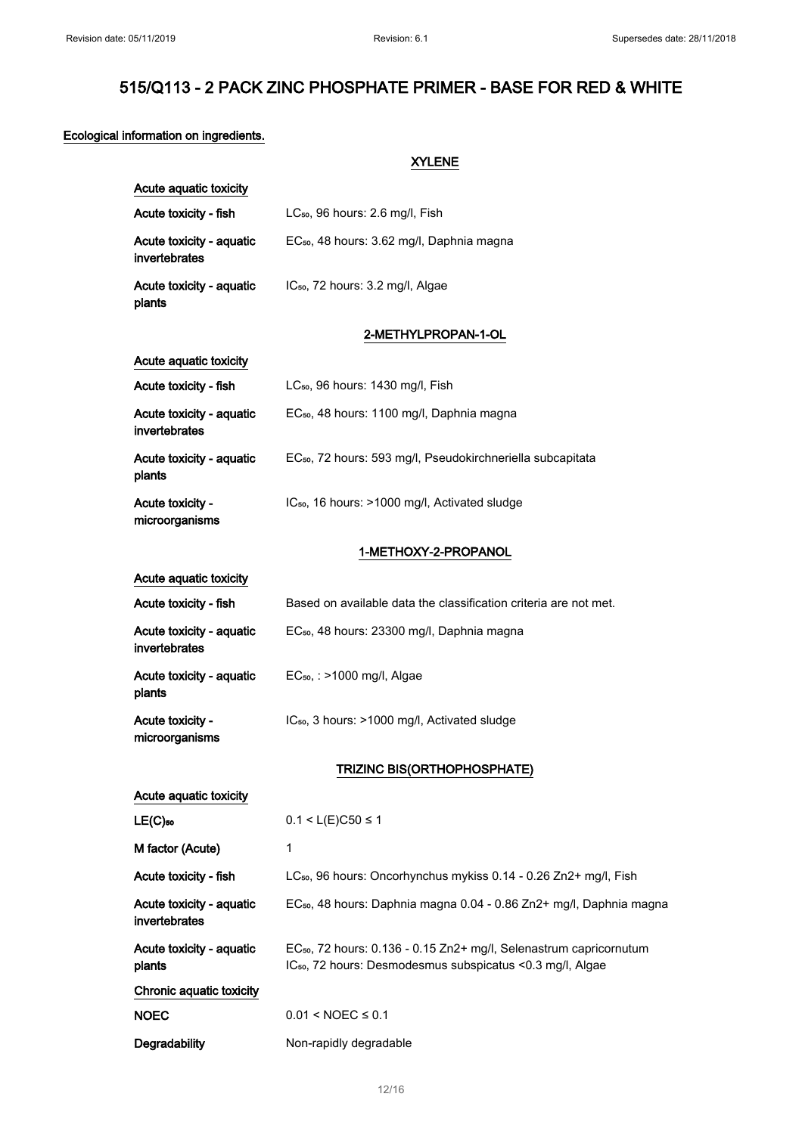#### Ecological information on ingredients.

XYLENE Acute aquatic toxicity Acute toxicity - fish LC<sub>50</sub>, 96 hours: 2.6 mg/l, Fish Acute toxicity - aquatic invertebrates EC<sub>50</sub>, 48 hours: 3.62 mg/l, Daphnia magna Acute toxicity - aquatic plants IC<sub>50</sub>, 72 hours: 3.2 mg/l, Algae 2-METHYLPROPAN-1-OL Acute aquatic toxicity Acute toxicity - fish LC<sub>50</sub>, 96 hours: 1430 mg/l, Fish Acute toxicity - aquatic invertebrates EC<sub>50</sub>, 48 hours: 1100 mg/l, Daphnia magna Acute toxicity - aquatic plants EC<sub>50</sub>, 72 hours: 593 mg/l, Pseudokirchneriella subcapitata Acute toxicity microorganisms IC<sub>50</sub>, 16 hours: >1000 mg/l, Activated sludge 1-METHOXY-2-PROPANOL Acute aquatic toxicity Acute toxicity - fish Based on available data the classification criteria are not met. Acute toxicity - aquatic invertebrates EC₅₀, 48 hours: 23300 mg/l, Daphnia magna Acute toxicity - aquatic plants EC₅₀, : >1000 mg/l, Algae Acute toxicity microorganisms IC<sub>50</sub>, 3 hours: >1000 mg/l, Activated sludge TRIZINC BIS(ORTHOPHOSPHATE) Acute aquatic toxicity **LE(C)**<sub>50</sub> 0.1 < L(E)C50 ≤ 1 M factor (Acute) 1 Acute toxicity - fish LC<sub>so</sub>, 96 hours: Oncorhynchus mykiss 0.14 - 0.26 Zn2+ mg/l, Fish Acute toxicity - aquatic invertebrates EC<sub>50</sub>, 48 hours: Daphnia magna 0.04 - 0.86 Zn2+ mg/l, Daphnia magna Acute toxicity - aquatic plants EC<sub>50</sub>, 72 hours: 0.136 - 0.15 Zn2+ mg/l, Selenastrum capricornutum IC<sub>50</sub>, 72 hours: Desmodesmus subspicatus <0.3 mg/l, Algae Chronic aquatic toxicity  $NOEC$  0.01 <  $NOEC \leq 0.1$ Degradability Non-rapidly degradable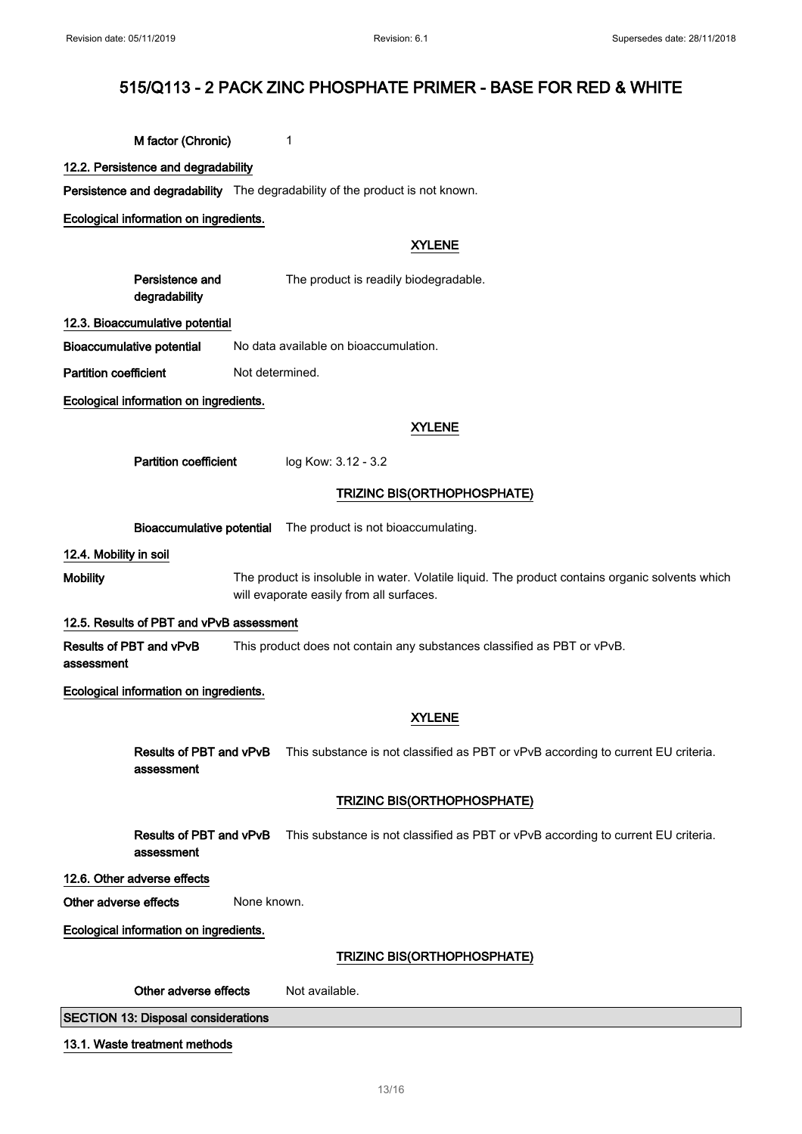M factor (Chronic) 1

12.2. Persistence and degradability

Persistence and degradability The degradability of the product is not known.

Ecological information on ingredients.

### XYLENE

Persistence and degradability The product is readily biodegradable.

#### 12.3. Bioaccumulative potential

Bioaccumulative potential No data available on bioaccumulation.

Partition coefficient Not determined.

Ecological information on ingredients.

#### XYLENE

Partition coefficient log Kow: 3.12 - 3.2

### TRIZINC BIS(ORTHOPHOSPHATE)

Bioaccumulative potential The product is not bioaccumulating.

12.4. Mobility in soil

Mobility The product is insoluble in water. Volatile liquid. The product contains organic solvents which will evaporate easily from all surfaces.

#### 12.5. Results of PBT and vPvB assessment

Results of PBT and vPvB assessment This product does not contain any substances classified as PBT or vPvB.

Ecological information on ingredients.

### XYLENE

Results of PBT and vPvB assessment This substance is not classified as PBT or vPvB according to current EU criteria.

### TRIZINC BIS(ORTHOPHOSPHATE)

Results of PBT and vPvB assessment This substance is not classified as PBT or vPvB according to current EU criteria.

### 12.6. Other adverse effects

Other adverse effects None known.

Ecological information on ingredients.

#### TRIZINC BIS(ORTHOPHOSPHATE)

| Other adverse effects<br>Not available. |
|-----------------------------------------|
|-----------------------------------------|

SECTION 13: Disposal considerations

#### 13.1. Waste treatment methods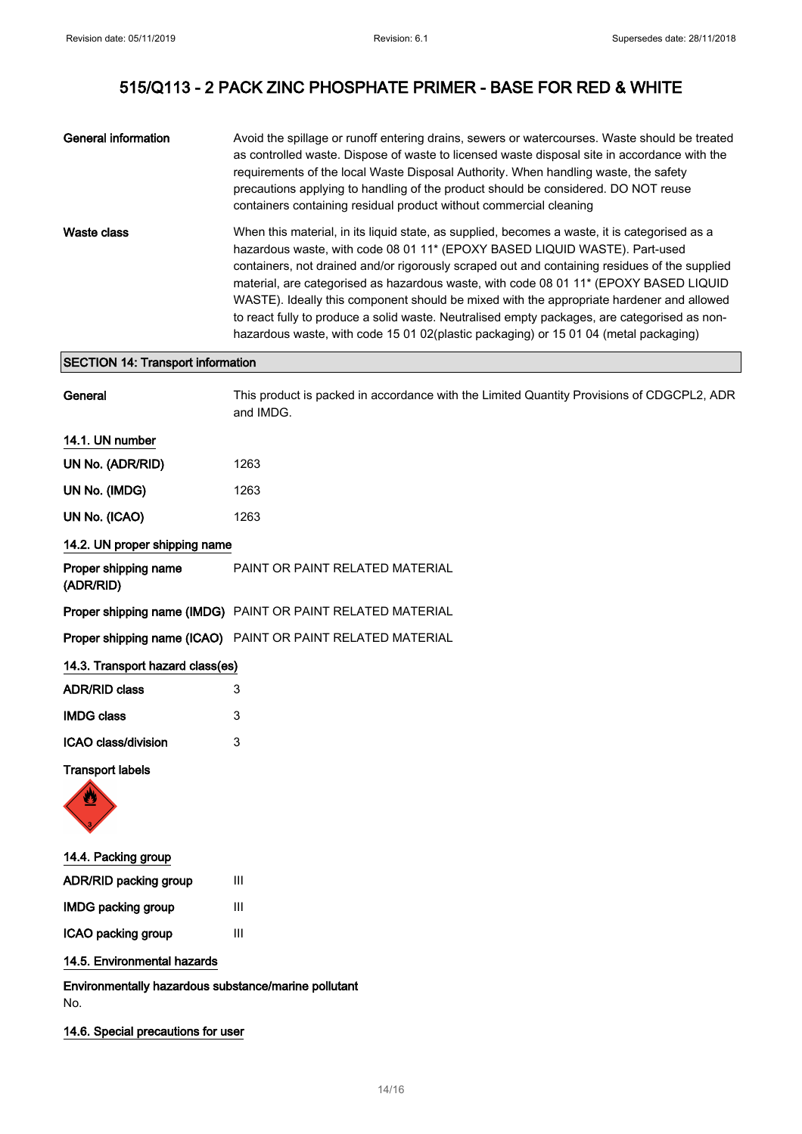| General information | Avoid the spillage or runoff entering drains, sewers or watercourses. Waste should be treated<br>as controlled waste. Dispose of waste to licensed waste disposal site in accordance with the<br>requirements of the local Waste Disposal Authority. When handling waste, the safety<br>precautions applying to handling of the product should be considered. DO NOT reuse<br>containers containing residual product without commercial cleaning                                                                                                                                                                                                          |
|---------------------|-----------------------------------------------------------------------------------------------------------------------------------------------------------------------------------------------------------------------------------------------------------------------------------------------------------------------------------------------------------------------------------------------------------------------------------------------------------------------------------------------------------------------------------------------------------------------------------------------------------------------------------------------------------|
| Waste class         | When this material, in its liquid state, as supplied, becomes a waste, it is categorised as a<br>hazardous waste, with code 08 01 11* (EPOXY BASED LIQUID WASTE). Part-used<br>containers, not drained and/or rigorously scraped out and containing residues of the supplied<br>material, are categorised as hazardous waste, with code 08 01 11* (EPOXY BASED LIQUID<br>WASTE). Ideally this component should be mixed with the appropriate hardener and allowed<br>to react fully to produce a solid waste. Neutralised empty packages, are categorised as non-<br>hazardous waste, with code 15 01 02(plastic packaging) or 15 01 04 (metal packaging) |

General This product is packed in accordance with the Limited Quantity Provisions of CDGCPL2, ADR

## SECTION 14: Transport information

|                                   | and IMDG.                       |
|-----------------------------------|---------------------------------|
| 14.1. UN number                   |                                 |
| UN No. (ADR/RID)                  | 1263                            |
| UN No. (IMDG)                     | 1263                            |
| UN No. (ICAO)                     | 1263                            |
| 14.2. UN proper shipping name     |                                 |
| Proper shipping name<br>(ADR/RID) | PAINT OR PAINT RELATED MATERIAL |

Proper shipping name (IMDG) PAINT OR PAINT RELATED MATERIAL

Proper shipping name (ICAO) PAINT OR PAINT RELATED MATERIAL

| 14.3. Transport hazard class(es) |   |
|----------------------------------|---|
| <b>ADR/RID class</b>             | 3 |
| <b>IMDG class</b>                | 3 |
| ICAO class/division              | 3 |

### Transport labels



14.4. Packing group

| <b>ADR/RID packing group</b> | Ш |
|------------------------------|---|
| <b>IMDG packing group</b>    | Ш |
| ICAO packing group           | Ш |

### 14.5. Environmental hazards

Environmentally hazardous substance/marine pollutant No.

14.6. Special precautions for user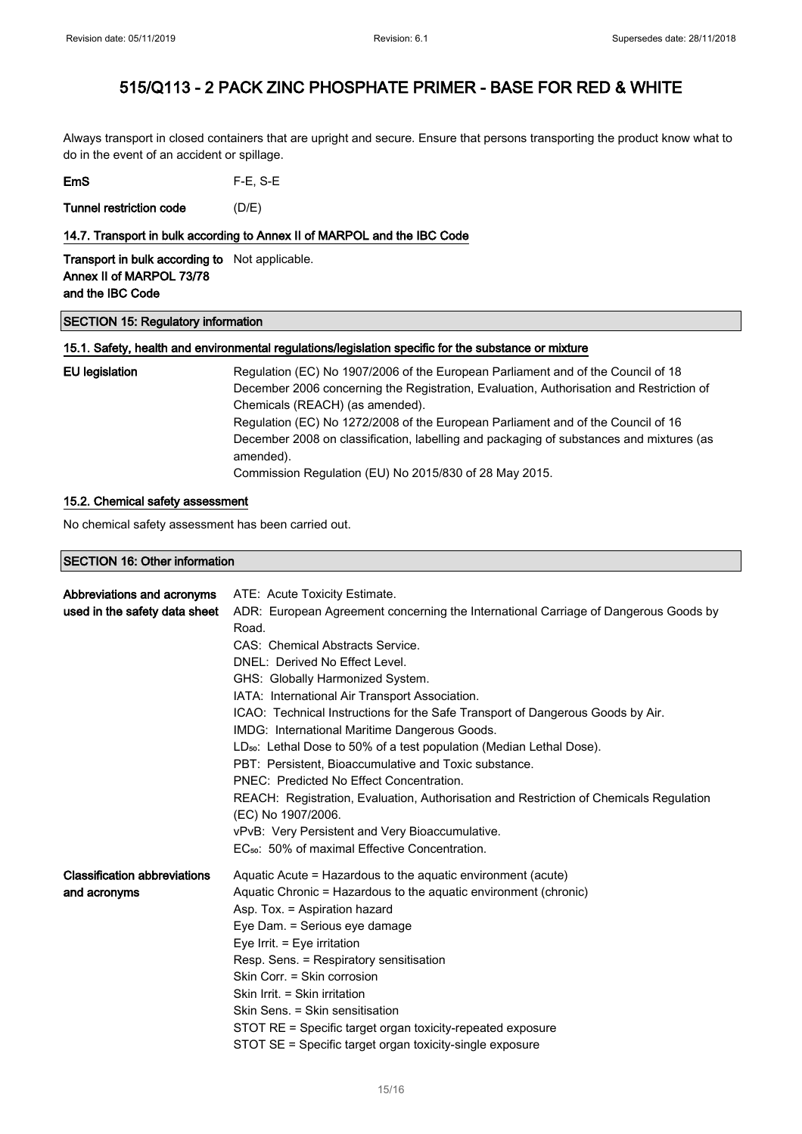Always transport in closed containers that are upright and secure. Ensure that persons transporting the product know what to do in the event of an accident or spillage.

| EmS | $F-E$ , S-E |
|-----|-------------|
|-----|-------------|

Tunnel restriction code (D/E)

### 14.7. Transport in bulk according to Annex II of MARPOL and the IBC Code

Transport in bulk according to Not applicable. Annex II of MARPOL 73/78 and the IBC Code

#### SECTION 15: Regulatory information

### 15.1. Safety, health and environmental regulations/legislation specific for the substance or mixture

| EU legislation | Regulation (EC) No 1907/2006 of the European Parliament and of the Council of 18                     |
|----------------|------------------------------------------------------------------------------------------------------|
|                | December 2006 concerning the Registration, Evaluation, Authorisation and Restriction of              |
|                | Chemicals (REACH) (as amended).                                                                      |
|                | Regulation (EC) No 1272/2008 of the European Parliament and of the Council of 16                     |
|                | December 2008 on classification, labelling and packaging of substances and mixtures (as<br>amended). |
|                | Commission Regulation (EU) No 2015/830 of 28 May 2015.                                               |

### 15.2. Chemical safety assessment

No chemical safety assessment has been carried out.

SECTION 16: Other information

| Abbreviations and acronyms          | ATE: Acute Toxicity Estimate.                                                          |
|-------------------------------------|----------------------------------------------------------------------------------------|
| used in the safety data sheet       | ADR: European Agreement concerning the International Carriage of Dangerous Goods by    |
|                                     | Road.                                                                                  |
|                                     | CAS: Chemical Abstracts Service.                                                       |
|                                     | DNEL: Derived No Effect Level.                                                         |
|                                     | GHS: Globally Harmonized System.                                                       |
|                                     | IATA: International Air Transport Association.                                         |
|                                     | ICAO: Technical Instructions for the Safe Transport of Dangerous Goods by Air.         |
|                                     | IMDG: International Maritime Dangerous Goods.                                          |
|                                     | LD <sub>50</sub> : Lethal Dose to 50% of a test population (Median Lethal Dose).       |
|                                     | PBT: Persistent. Bioaccumulative and Toxic substance.                                  |
|                                     | PNEC: Predicted No Effect Concentration.                                               |
|                                     | REACH: Registration, Evaluation, Authorisation and Restriction of Chemicals Regulation |
|                                     | (EC) No 1907/2006.                                                                     |
|                                     | vPvB: Very Persistent and Very Bioaccumulative.                                        |
|                                     | EC <sub>50</sub> : 50% of maximal Effective Concentration.                             |
| <b>Classification abbreviations</b> | Aquatic Acute = Hazardous to the aquatic environment (acute)                           |
| and acronyms                        | Aquatic Chronic = Hazardous to the aquatic environment (chronic)                       |
|                                     | Asp. Tox. = Aspiration hazard                                                          |
|                                     | Eye Dam. = Serious eye damage                                                          |
|                                     | Eye Irrit. = Eye irritation                                                            |
|                                     | Resp. Sens. = Respiratory sensitisation                                                |
|                                     | Skin Corr. = Skin corrosion                                                            |
|                                     | Skin Irrit. = Skin irritation                                                          |
|                                     | Skin Sens. = Skin sensitisation                                                        |
|                                     | STOT RE = Specific target organ toxicity-repeated exposure                             |
|                                     | STOT SE = Specific target organ toxicity-single exposure                               |